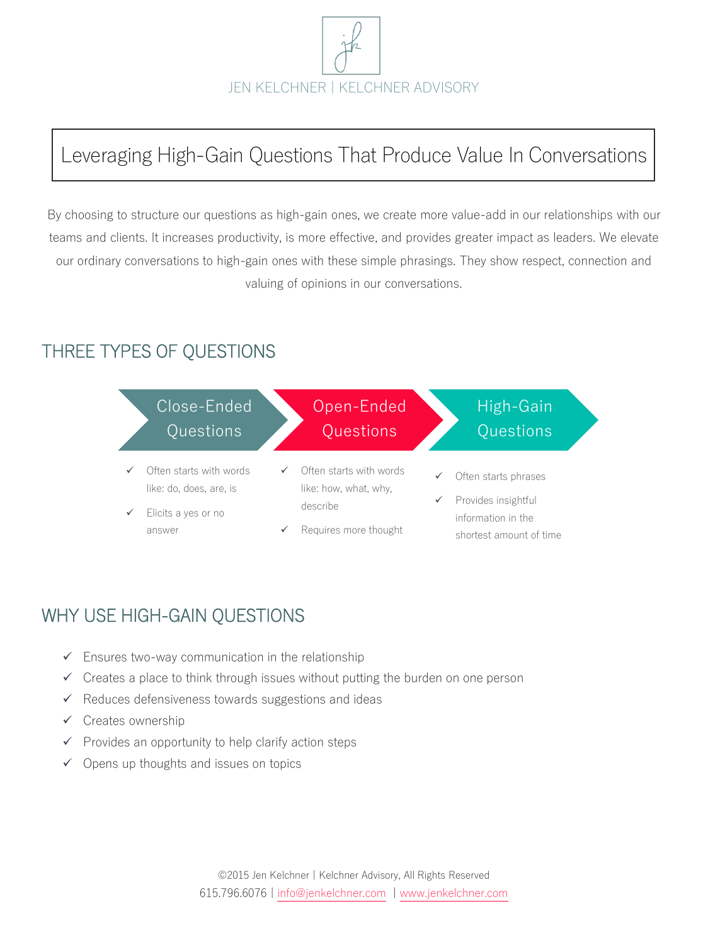

# Leveraging High-Gain Questions That Produce Value In Conversations

By choosing to structure our questions as high-gain ones, we create more value-add in our relationships with our teams and clients. It increases productivity, is more effective, and provides greater impact as leaders. We elevate our ordinary conversations to high-gain ones with these simple phrasings. They show respect, connection and valuing of opinions in our conversations.

### THREE TYPES OF QUESTIONS



# WHY USE HIGH-GAIN QUESTIONS

- $\checkmark$  Ensures two-way communication in the relationship
- $\checkmark$  Creates a place to think through issues without putting the burden on one person
- $\checkmark$  Reduces defensiveness towards suggestions and ideas
- $\checkmark$  Creates ownership
- $\checkmark$  Provides an opportunity to help clarify action steps
- $\checkmark$  Opens up thoughts and issues on topics